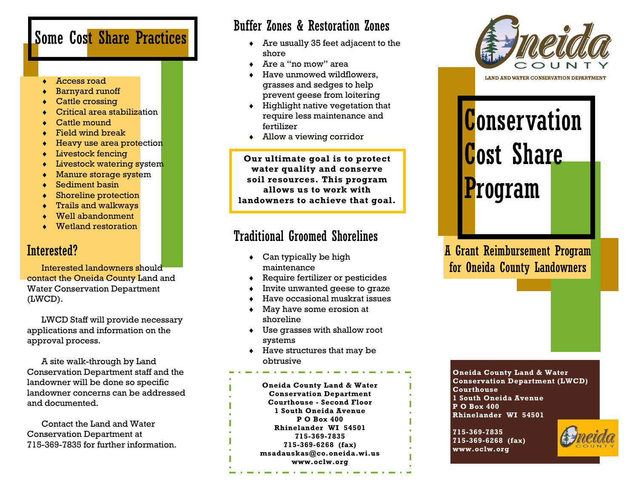# Some Cost Share Practices

- Access road
- Barnyard runoff
- Cattle crossing
- Critical area stabilization
- Cattle mound
- Field wind break
- $\bullet$  Heavy use area protection
- Livestock fencing
- **+** Livestock watering system
- **Manure storage system**
- Sediment basin
- Shoreline protection
- Trails and walkways
- Well abandonment
- Wetland restoration

#### Interested?

Interested landowners should contact the Oneida County Land and Water Conservation Department (LWCD).

LWCD Staff will provide necessary applications and information on the approval process.

A site walk-through by Land Conservation Department staff and the landowner will be done so specific landowner concerns can be addressed and documented.

Contact the Land and Water Conservation Department at 715-369-7835 for further information.

### Buffer Zones & Restoration Zones

- Are usually 35 feet adjacent to the shore
- Are a "no mow" area
- Have unmowed wildflowers, grasses and sedges to help prevent geese from loitering
- $\bullet$  Highlight native vegetation that require less maintenance and fertilizer
- Allow a viewing corridor

**Our ultimate goal is to protect water quality and conserve soil resources. This program allows us to work with landowners to achieve that goal.**

#### Traditional Groomed Shorelines

- Can typically be high maintenance
- Require fertilizer or pesticides
- Invite unwanted geese to graze
- Have occasional muskrat issues
- May have some erosion at shoreline
- Use grasses with shallow root systems
- $\bullet$  Have structures that may be obtrusive

**Oneida County Land & Water Conservation Department Courthouse - Second Floor 1 South Oneida Avenue P O Box 400 Rhinelander WI 54501 715-369-7835 715-369-6268 (fax) msadauskas@co.oneida.wi.us www.oclw.org**



**Conservation** Cost Share Program

A Grant Reimbursement Program for Oneida County Landowners

**Oneida County Land & Water Conservation Department (LWCD) Courthouse 1 South Oneida Avenue P O Box 400 Rhinelander WI 54501**

**715-369-7835 715-369-6268 (fax) www.oclw.org**